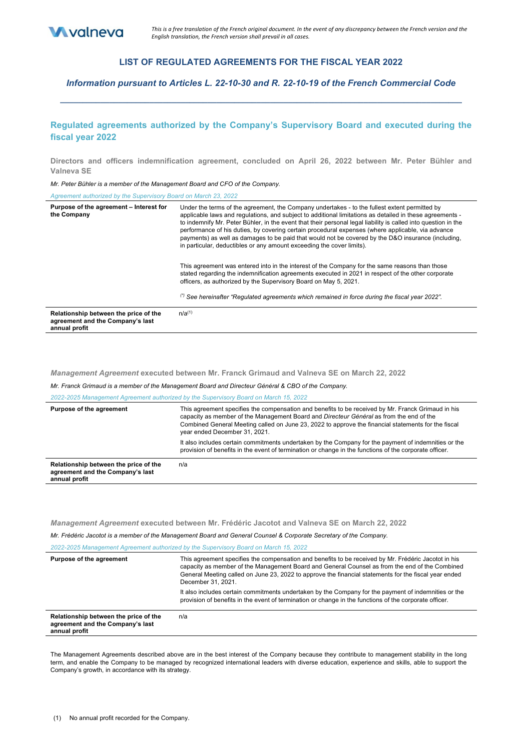

## **LIST OF REGULATED AGREEMENTS FOR THE FISCAL YEAR 2022**

*Information pursuant to Articles L. 22-10-30 and R. 22-10-19 of the French Commercial Code* **\_\_\_\_\_\_\_\_\_\_\_\_\_\_\_\_\_\_\_\_\_\_\_\_\_\_\_\_\_\_\_\_\_\_\_\_\_\_\_\_\_\_\_\_\_\_\_\_\_\_\_\_\_\_\_\_\_\_\_\_\_\_\_\_\_\_\_\_\_\_\_\_\_\_\_\_\_\_\_\_\_\_\_\_\_\_\_\_\_\_**

# **Regulated agreements authorized by the Company's Supervisory Board and executed during the fiscal year 2022**

**Directors and officers indemnification agreement, concluded on April 26, 2022 between Mr. Peter Bühler and Valneva SE** 

*Mr. Peter Bühler is a member of the Management Board and CFO of the Company.*

*Agreement authorized by the Supervisory Board on March 23, 2022*

| Purpose of the agreement - Interest for<br>the Company                                     | Under the terms of the agreement, the Company undertakes - to the fullest extent permitted by<br>applicable laws and regulations, and subject to additional limitations as detailed in these agreements -<br>to indemnify Mr. Peter Bühler, in the event that their personal legal liability is called into question in the<br>performance of his duties, by covering certain procedural expenses (where applicable, via advance<br>payments) as well as damages to be paid that would not be covered by the D&O insurance (including,<br>in particular, deductibles or any amount exceeding the cover limits). |
|--------------------------------------------------------------------------------------------|-----------------------------------------------------------------------------------------------------------------------------------------------------------------------------------------------------------------------------------------------------------------------------------------------------------------------------------------------------------------------------------------------------------------------------------------------------------------------------------------------------------------------------------------------------------------------------------------------------------------|
|                                                                                            | This agreement was entered into in the interest of the Company for the same reasons than those<br>stated regarding the indemnification agreements executed in 2021 in respect of the other corporate<br>officers, as authorized by the Supervisory Board on May 5, 2021.<br>(*) See hereinafter "Requlated agreements which remained in force during the fiscal year 2022".                                                                                                                                                                                                                                     |
| Relationship between the price of the<br>agreement and the Company's last<br>annual profit | $n/a^{(1)}$                                                                                                                                                                                                                                                                                                                                                                                                                                                                                                                                                                                                     |

*Management Agreement* **executed between Mr. Franck Grimaud and Valneva SE on March 22, 2022** 

*Mr. Franck Grimaud is a member of the Management Board and Directeur Général & CBO of the Company.*

*2022-2025 Management Agreement authorized by the Supervisory Board on March 15, 2022*

| Purpose of the agreement                                                                   | This agreement specifies the compensation and benefits to be received by Mr. Franck Grimaud in his<br>capacity as member of the Management Board and Directeur Général as from the end of the<br>Combined General Meeting called on June 23, 2022 to approve the financial statements for the fiscal<br>year ended December 31, 2021. |
|--------------------------------------------------------------------------------------------|---------------------------------------------------------------------------------------------------------------------------------------------------------------------------------------------------------------------------------------------------------------------------------------------------------------------------------------|
|                                                                                            | It also includes certain commitments undertaken by the Company for the payment of indemnities or the<br>provision of benefits in the event of termination or change in the functions of the corporate officer.                                                                                                                        |
| Relationship between the price of the<br>agreement and the Company's last<br>annual profit | n/a                                                                                                                                                                                                                                                                                                                                   |

*Management Agreement* **executed between Mr. Frédéric Jacotot and Valneva SE on March 22, 2022**

*Mr. Frédéric Jacotot is a member of the Management Board and General Counsel & Corporate Secretary of the Company.*

*2022-2025 Management Agreement authorized by the Supervisory Board on March 15, 2022*

| Purpose of the agreement                                                                   | This agreement specifies the compensation and benefits to be received by Mr. Frédéric Jacotot in his<br>capacity as member of the Management Board and General Counsel as from the end of the Combined<br>General Meeting called on June 23, 2022 to approve the financial statements for the fiscal year ended<br>December 31, 2021. |
|--------------------------------------------------------------------------------------------|---------------------------------------------------------------------------------------------------------------------------------------------------------------------------------------------------------------------------------------------------------------------------------------------------------------------------------------|
|                                                                                            | It also includes certain commitments undertaken by the Company for the payment of indemnities or the<br>provision of benefits in the event of termination or change in the functions of the corporate officer.                                                                                                                        |
| Relationship between the price of the<br>agreement and the Company's last<br>annual profit | n/a                                                                                                                                                                                                                                                                                                                                   |

The Management Agreements described above are in the best interest of the Company because they contribute to management stability in the long term, and enable the Company to be managed by recognized international leaders with diverse education, experience and skills, able to support the Company's growth, in accordance with its strategy.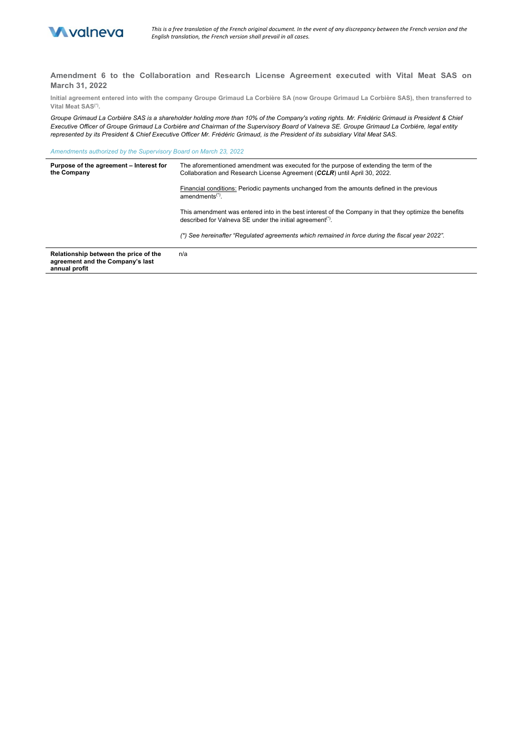

**Amendment 6 to the Collaboration and Research License Agreement executed with Vital Meat SAS on March 31, 2022**

**Initial agreement entered into with the company Groupe Grimaud La Corbière SA (now Groupe Grimaud La Corbière SAS), then transferred to Vital Meat SAS(\*).**

Groupe Grimaud La Corbière SAS is a shareholder holding more than 10% of the Company's voting rights. Mr. Frédéric Grimaud is President & Chief *Executive Officer of Groupe Grimaud La Corbière and Chairman of the Supervisory Board of Valneva SE. Groupe Grimaud La Corbière, legal entity represented by its President & Chief Executive Officer Mr. Frédéric Grimaud, is the President of its subsidiary Vital Meat SAS.*

*Amendments authorized by the Supervisory Board on March 23, 2022*

| Purpose of the agreement - Interest for<br>the Company                                     | The aforementioned amendment was executed for the purpose of extending the term of the<br>Collaboration and Research License Agreement (CCLR) until April 30, 2022.             |
|--------------------------------------------------------------------------------------------|---------------------------------------------------------------------------------------------------------------------------------------------------------------------------------|
|                                                                                            | Financial conditions: Periodic payments unchanged from the amounts defined in the previous<br>amendments <sup>(*)</sup> .                                                       |
|                                                                                            | This amendment was entered into in the best interest of the Company in that they optimize the benefits<br>described for Valneva SE under the initial agreement <sup>(*)</sup> . |
|                                                                                            | (*) See hereinafter "Requlated agreements which remained in force during the fiscal year 2022".                                                                                 |
| Relationship between the price of the<br>agreement and the Company's last<br>annual profit | n/a                                                                                                                                                                             |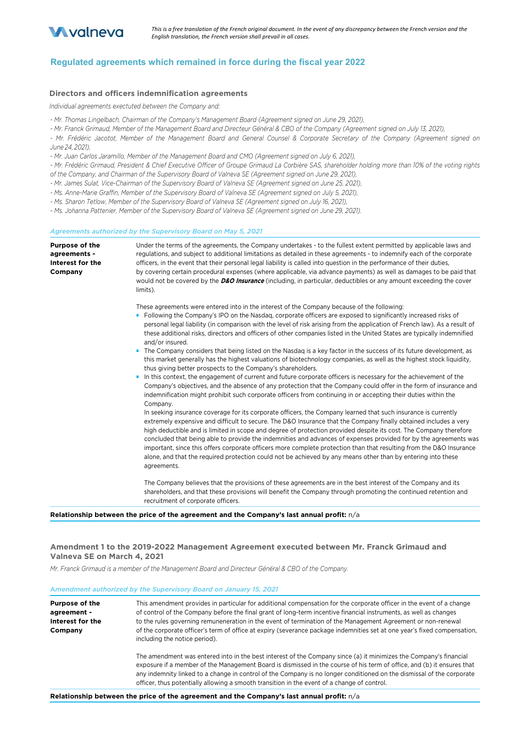

## **Regulated agreements which remained in force during the fiscal year 2022**

## **Directors and officers indemnification agreements**

*Individual agreements exectuted between the Company and:* 

*- Mr. Thomas Lingelbach, Chairman of the Company's Management Board (Agreement signed on June 29, 2021),* 

*- Mr. Franck Grimaud, Member of the Management Board and Directeur Général & CBO of the Company (Agreement signed on July 13, 2021),* 

*- Mr. Frédéric Jacotot, Member of the Management Board and General Counsel & Corporate Secretary of the Company (Agreement signed on June 24, 2021),* 

- Mr. Juan Carlos Jaramillo, Member of the Management Board and CMO (Agreement signed on July 6, 2021),

*- Mr. Frédéric Grimaud, President & Chief Executive Officer of Groupe Grimaud La Corbière SAS, shareholder holding more than 10% of the voting rights of the Company, and Chairman of the Supervisory Board of Valneva SE (Agreement signed on June 29, 2021),* 

*- Mr. James Sulat, Vice-Chairman of the Supervisory Board of Valneva SE (Agreement signed on June 25, 2021),* 

*- Ms. Anne-Marie Graffin, Member of the Supervisory Board of Valneva SE (Agreement signed on July 5, 2021),* 

*- Ms. Sharon Tetlow, Member of the Supervisory Board of Valneva SE (Agreement signed on July 16, 2021),* 

*- Ms. Johanna Pattenier, Member of the Supervisory Board of Valneva SE (Agreement signed on June 29, 2021).*

#### *Agreements authorized by the Supervisory Board on May 5, 2021*

**Purpose of the agreements - Interest for the Company** Under the terms of the agreements, the Company undertakes - to the fullest extent permitted by applicable laws and regulations, and subject to additional limitations as detailed in these agreements - to indemnify each of the corporate officers, in the event that their personal legal liability is called into question in the performance of their duties, by covering certain procedural expenses (where applicable, via advance payments) as well as damages to be paid that would not be covered by the **D&O Insurance** (including, in particular, deductibles or any amount exceeding the cover limits). These agreements were entered into in the interest of the Company because of the following: ■ Following the Company's IPO on the Nasdaq, corporate officers are exposed to significantly increased risks of personal legal liability (in comparison with the level of risk arising from the application of French law). As a result of these additional risks, directors and officers of other companies listed in the United States are typically indemnified and/or insured. ■ The Company considers that being listed on the Nasdaq is a key factor in the success of its future development, as this market generally has the highest valuations of biotechnology companies, as well as the highest stock liquidity, thus giving better prospects to the Company's shareholders. ■ In this context, the engagement of current and future corporate officers is necessary for the achievement of the Company's objectives, and the absence of any protection that the Company could offer in the form of insurance and indemnification might prohibit such corporate officers from continuing in or accepting their duties within the Company. In seeking insurance coverage for its corporate officers, the Company learned that such insurance is currently extremely expensive and difficult to secure. The D&O Insurance that the Company finally obtained includes a very high deductible and is limited in scope and degree of protection provided despite its cost. The Company therefore concluded that being able to provide the indemnities and advances of expenses provided for by the agreements was important, since this offers corporate officers more complete protection than that resulting from the D&O Insurance alone, and that the required protection could not be achieved by any means other than by entering into these agreements. The Company believes that the provisions of these agreements are in the best interest of the Company and its shareholders, and that these provisions will benefit the Company through promoting the continued retention and recruitment of corporate officers.

**Relationship between the price of the agreement and the Company's last annual profit:** n/a

#### **Amendment 1 to the 2019-2022 Management Agreement executed between Mr. Franck Grimaud and Valneva SE on March 4, 2021**

*Mr. Franck Grimaud is a member of the Management Board and Directeur Général & CBO of the Company.*

#### A*mendment authorized by the Supervisory Board on January 15, 2021*

| <b>Purpose of the</b><br>agreement -<br>Interest for the<br>Company | This amendment provides in particular for additional compensation for the corporate officer in the event of a change<br>of control of the Company before the final grant of long-term incentive financial instruments, as well as changes<br>to the rules governing remuneneration in the event of termination of the Management Agreement or non-renewal<br>of the corporate officer's term of office at expiry (severance package indemnities set at one year's fixed compensation,<br>including the notice period). |
|---------------------------------------------------------------------|------------------------------------------------------------------------------------------------------------------------------------------------------------------------------------------------------------------------------------------------------------------------------------------------------------------------------------------------------------------------------------------------------------------------------------------------------------------------------------------------------------------------|
|                                                                     | The amendment was entered into in the best interest of the Company since (a) it minimizes the Company's financial<br>exposure if a member of the Management Board is dismissed in the course of his term of office, and (b) it ensures that<br>any indemnity linked to a change in control of the Company is no longer conditioned on the dismissal of the corporate<br>officer, thus potentially allowing a smooth transition in the event of a change of control.                                                    |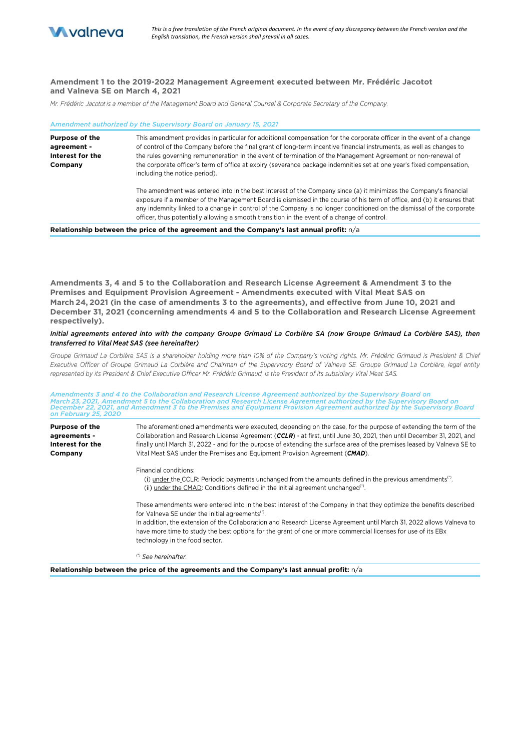

## **Amendment 1 to the 2019-2022 Management Agreement executed between Mr. Frédéric Jacotot and Valneva SE on March 4, 2021**

*Mr. Frédéric* Jacotot *is a member of the Management Board and General Counsel & Corporate Secretary of the Company.*

| Amendment authorized by the Supervisory Board on January 15, 2021   |                                                                                                                                                                                                                                                                                                                                                                                                                                                                                                                        |
|---------------------------------------------------------------------|------------------------------------------------------------------------------------------------------------------------------------------------------------------------------------------------------------------------------------------------------------------------------------------------------------------------------------------------------------------------------------------------------------------------------------------------------------------------------------------------------------------------|
| <b>Purpose of the</b><br>agreement -<br>Interest for the<br>Company | This amendment provides in particular for additional compensation for the corporate officer in the event of a change<br>of control of the Company before the final grant of long-term incentive financial instruments, as well as changes to<br>the rules governing remuneneration in the event of termination of the Management Agreement or non-renewal of<br>the corporate officer's term of office at expiry (severance package indemnities set at one year's fixed compensation,<br>including the notice period). |
|                                                                     | The amendment was entered into in the best interest of the Company since (a) it minimizes the Company's financial<br>exposure if a member of the Management Board is dismissed in the course of his term of office, and (b) it ensures that<br>any indemnity linked to a change in control of the Company is no longer conditioned on the dismissal of the corporate<br>officer, thus potentially allowing a smooth transition in the event of a change of control.                                                    |
|                                                                     | Belektroniko krituriareko zahari etako ezarearen ezatako Bezarenako legarenako barrenako arte                                                                                                                                                                                                                                                                                                                                                                                                                          |

**Relationship between the price of the agreement and the Company's last annual profit:** n/a

**Amendments 3, 4 and 5 to the Collaboration and Research License Agreement & Amendment 3 to the Premises and Equipment Provision Agreement - Amendments executed with Vital Meat SAS on March 24, 2021 (in the case of amendments 3 to the agreements), and effective from June 10, 2021 and December 31, 2021 (concerning amendments 4 and 5 to the Collaboration and Research License Agreement respectively).**

#### *Initial agreements entered into with the company Groupe Grimaud La Corbière SA (now Groupe Grimaud La Corbière SAS), then transferred to Vital Meat SAS (see hereinafter)*

*Groupe Grimaud La Corbière SAS is a shareholder holding more than 10% of the Company's voting rights. Mr. Frédéric Grimaud is President & Chief Executive Officer of Groupe Grimaud La Corbière and Chairman of the Supervisory Board of Valneva SE. Groupe Grimaud La Corbière, legal entity represented by its President & Chief Executive Officer Mr. Frédéric Grimaud, is the President of its subsidiary Vital Meat SAS.*

*Amendments 3 and 4 to the Collaboration and Research License Agreement authorized by the Supervisory Board on*  March 23, 2021, Amendment 5 to the Collaboration and Research License Agreement authorized by the Supervisory Board on<br>December 22, 2021, and Amendment 3 to the Premises and Equipment Provision Agreement authorized by the

| <b>Purpose of the</b><br>agreements -<br>Interest for the<br>Company | The aforementioned amendments were executed, depending on the case, for the purpose of extending the term of the<br>Collaboration and Research License Agreement (CCLR) - at first, until June 30, 2021, then until December 31, 2021, and<br>finally until March 31, 2022 - and for the purpose of extending the surface area of the premises leased by Valneva SE to<br>Vital Meat SAS under the Premises and Equipment Provision Agreement (CMAD).          |
|----------------------------------------------------------------------|----------------------------------------------------------------------------------------------------------------------------------------------------------------------------------------------------------------------------------------------------------------------------------------------------------------------------------------------------------------------------------------------------------------------------------------------------------------|
|                                                                      | Financial conditions:<br>(i) under the CCLR: Periodic payments unchanged from the amounts defined in the previous amendments <sup>(*)</sup> .<br>(ii) under the CMAD: Conditions defined in the initial agreement unchanged $\binom{n}{k}$ .                                                                                                                                                                                                                   |
|                                                                      | These amendments were entered into in the best interest of the Company in that they optimize the benefits described<br>for Valneva SE under the initial agreements <sup>(*)</sup> .<br>In addition, the extension of the Collaboration and Research License Agreement until March 31, 2022 allows Valneva to<br>have more time to study the best options for the grant of one or more commercial licenses for use of its EBx<br>technology in the food sector. |
|                                                                      | <sup>(*)</sup> See hereinafter.                                                                                                                                                                                                                                                                                                                                                                                                                                |

**Relationship between the price of the agreements and the Company's last annual profit:** n/a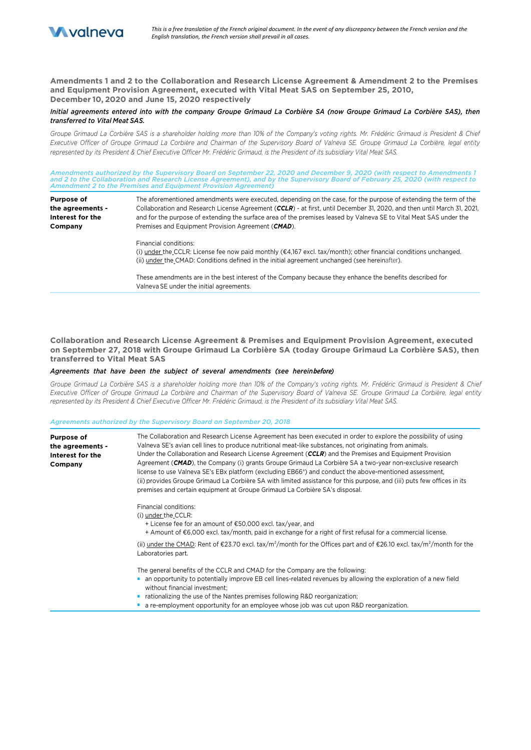

**Amendments 1 and 2 to the Collaboration and Research License Agreement & Amendment 2 to the Premises and Equipment Provision Agreement, executed with Vital Meat SAS on September 25, 2010, December 10, 2020 and June 15, 2020 respectively**

## *Initial agreements entered into with the company Groupe Grimaud La Corbière SA (now Groupe Grimaud La Corbière SAS), then transferred to Vital Meat SAS.*

*Groupe Grimaud La Corbière SAS is a shareholder holding more than 10% of the Company's voting rights. Mr. Frédéric Grimaud is President & Chief Executive Officer of Groupe Grimaud La Corbière and Chairman of the Supervisory Board of Valneva SE. Groupe Grimaud La Corbière, legal entity represented by its President & Chief Executive Officer Mr. Frédéric Grimaud, is the President of its subsidiary Vital Meat SAS.*

*Amendments authorized by the Supervisory Board on September 22, 2020 and December 9, 2020 (with respect to Amendments 1 and 2 to the Collaboration and Research License Agreement), and by the Supervisory Board of February 25, 2020 (with respect to Amendment 2 to the Premises and Equipment Provision Agreement)*

| Purpose of<br>the agreements -<br>Interest for the | The aforementioned amendments were executed, depending on the case, for the purpose of extending the term of the<br>Collaboration and Research License Agreement (CCLR) - at first, until December 31, 2020, and then until March 31, 2021,<br>and for the purpose of extending the surface area of the premises leased by Valneva SE to Vital Meat SAS under the |
|----------------------------------------------------|-------------------------------------------------------------------------------------------------------------------------------------------------------------------------------------------------------------------------------------------------------------------------------------------------------------------------------------------------------------------|
| Company                                            | Premises and Equipment Provision Agreement (CMAD).                                                                                                                                                                                                                                                                                                                |
|                                                    | Financial conditions:<br>(i) under the CCLR: License fee now paid monthly ( $\epsilon$ 4.167 excl. tax/month); other financial conditions unchanged.<br>(ii) under the CMAD: Conditions defined in the initial agreement unchanged (see hereinafter).                                                                                                             |
|                                                    | These amendments are in the best interest of the Company because they enhance the benefits described for<br>Valneva SE under the initial agreements.                                                                                                                                                                                                              |

**Collaboration and Research License Agreement & Premises and Equipment Provision Agreement, executed on September 27, 2018 with Groupe Grimaud La Corbière SA (today Groupe Grimaud La Corbière SAS), then transferred to Vital Meat SAS**

## *Agreements that have been the subject of several amendments (see herein***before***)*

*Groupe Grimaud La Corbière SAS is a shareholder holding more than 10% of the Company's voting rights. Mr. Frédéric Grimaud is President & Chief Executive Officer of Groupe Grimaud La Corbière and Chairman of the Supervisory Board of Valneva SE. Groupe Grimaud La Corbière, legal entity represented by its President & Chief Executive Officer Mr. Frédéric Grimaud, is the President of its subsidiary Vital Meat SAS.*

#### *Agreements authorized by the Supervisory Board on September 20, 2018*

| <b>Purpose of</b><br>the agreements -<br>Interest for the<br>Company | The Collaboration and Research License Agreement has been executed in order to explore the possibility of using<br>Valneva SE's avian cell lines to produce nutritional meat-like substances, not originating from animals.<br>Under the Collaboration and Research License Agreement (CCLR) and the Premises and Equipment Provision<br>Agreement ( <b>CMAD</b> ), the Company (i) grants Groupe Grimaud La Corbière SA a two-year non-exclusive research<br>license to use Valneva SE's EBx platform (excluding EB66 <sup>®</sup> ) and conduct the above-mentioned assessment,<br>(ii) provides Groupe Grimaud La Corbière SA with limited assistance for this purpose, and (iii) puts few offices in its<br>premises and certain equipment at Groupe Grimaud La Corbière SA's disposal. |
|----------------------------------------------------------------------|---------------------------------------------------------------------------------------------------------------------------------------------------------------------------------------------------------------------------------------------------------------------------------------------------------------------------------------------------------------------------------------------------------------------------------------------------------------------------------------------------------------------------------------------------------------------------------------------------------------------------------------------------------------------------------------------------------------------------------------------------------------------------------------------|
|                                                                      | Financial conditions:<br>(i) under the CCLR:<br>+ License fee for an amount of €50,000 excl. tax/year, and<br>$+$ Amount of $\epsilon$ 6,000 excl. tax/month, paid in exchange for a right of first refusal for a commercial license.                                                                                                                                                                                                                                                                                                                                                                                                                                                                                                                                                       |
|                                                                      | (ii) under the CMAD: Rent of €23.70 excl. tax/m <sup>2</sup> /month for the Offices part and of €26.10 excl. tax/m <sup>2</sup> /month for the<br>Laboratories part.                                                                                                                                                                                                                                                                                                                                                                                                                                                                                                                                                                                                                        |
|                                                                      | The general benefits of the CCLR and CMAD for the Company are the following:<br>an opportunity to potentially improve EB cell lines-related revenues by allowing the exploration of a new field<br>without financial investment:<br>rationalizing the use of the Nantes premises following R&D reorganization;<br>a re-employment opportunity for an employee whose job was cut upon R&D reorganization.                                                                                                                                                                                                                                                                                                                                                                                    |